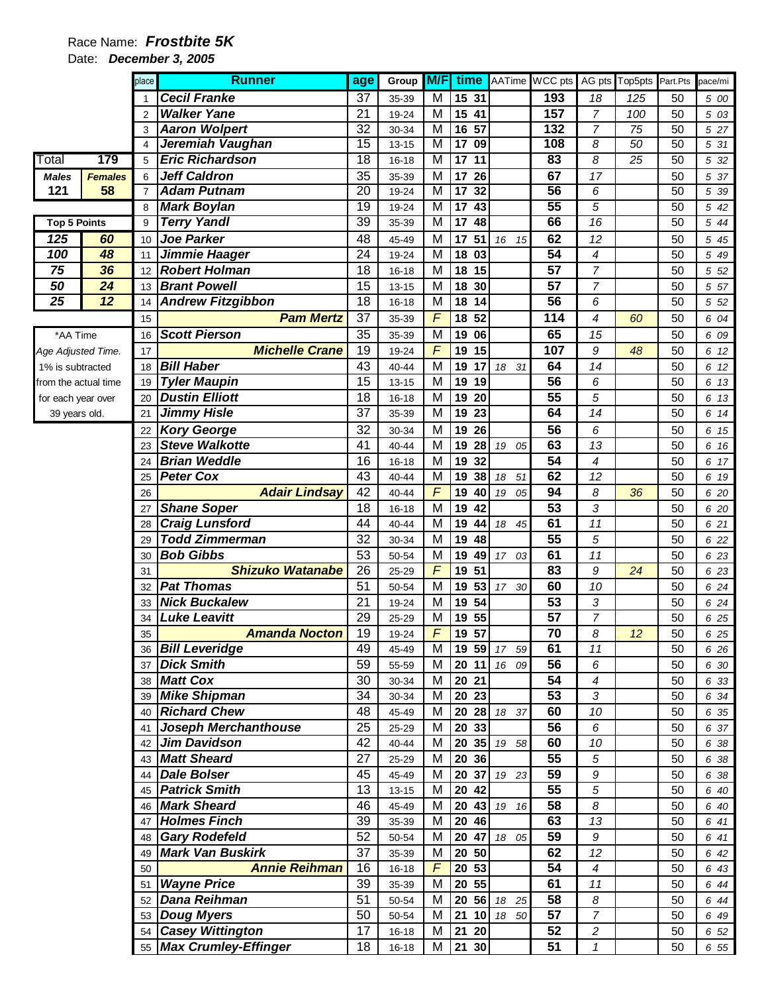### Date: **December 3, 2005**

|                      |                | place          | <b>Runner</b>                                  | age             | Group          | <b>M/F</b>                    | time                  |             | AATime WCC pts  | AG pts                   | Top5pts         | Part.Pts | pace/mi           |
|----------------------|----------------|----------------|------------------------------------------------|-----------------|----------------|-------------------------------|-----------------------|-------------|-----------------|--------------------------|-----------------|----------|-------------------|
|                      |                |                | <b>Cecil Franke</b>                            | 37              | 35-39          | M                             | 15 31                 |             | 193             | 18                       | 125             | 50       | 5 00              |
|                      |                | 2              | <b>Walker Yane</b>                             | 21              | 19-24          | M                             | 15<br>41              |             | 157             | $\overline{7}$           | 100             | 50       | 5 03              |
|                      |                | 3              | <b>Aaron Wolpert</b>                           | 32              | 30-34          | M                             | 16<br>57              |             | 132             | $\overline{7}$           | 75              | 50       | 5 27              |
|                      |                | 4              | Jeremiah Vaughan                               | $\overline{15}$ | $13 - 15$      | $\overline{\mathsf{M}}$       | $\overline{17}$<br>09 |             | 108             | 8                        | 50              | 50       | 5 31              |
| Total                | 179            | 5              | <b>Eric Richardson</b>                         | $\overline{18}$ | $16 - 18$      | M                             | 17<br>$\overline{11}$ |             | 83              | $\overline{\mathcal{E}}$ | $\overline{25}$ | 50       | $\overline{5}$ 32 |
| <b>Males</b>         | <b>Females</b> | 6              | <b>Jeff Caldron</b>                            | 35              | 35-39          | M                             | 17<br>26              |             | 67              | 17                       |                 | 50       | 5 37              |
| 121                  | 58             | $\overline{7}$ | <b>Adam Putnam</b>                             | 20              | 19-24          | $\overline{\mathsf{M}}$       | $\overline{17}$<br>32 |             | 56              | 6                        |                 | 50       | 5 39              |
|                      |                | 8              | <b>Mark Boylan</b>                             | $\overline{19}$ | 19-24          | M                             | $\overline{17}$<br>43 |             | 55              | 5                        |                 | 50       | 5 42              |
| <b>Top 5 Points</b>  |                | 9              | <b>Terry Yandl</b>                             | 39              | 35-39          | M                             | $\overline{17}$<br>48 |             | 66              | $\overline{16}$          |                 | 50       | 5 44              |
| 125                  | 60             | 10             | <b>Joe Parker</b>                              | 48              | 45-49          | M                             | 51<br>17              | 16<br>15    | 62              | 12                       |                 | 50       | 5 45              |
| 100                  | 48             | 11             | Jimmie Haager                                  | 24              | 19-24          | M                             | 03<br>18              |             | $\overline{54}$ | 4                        |                 | 50       | 5 49              |
| 75                   | 36             | 12             | <b>Robert Holman</b>                           | 18              | 16-18          | M                             | 15<br>18              |             | $\overline{57}$ | $\overline{7}$           |                 | 50       | 5 52              |
| 50                   | 24             | 13             | <b>Brant Powell</b>                            | 15              | $13 - 15$      | M                             | 18<br>30              |             | $\overline{57}$ | $\overline{7}$           |                 | 50       | 5 57              |
| 25                   | 12             | 14             | <b>Andrew Fitzgibbon</b>                       | 18              | $16 - 18$      | M                             | 18<br>14              |             | 56              | 6                        |                 | 50       | 5 52              |
|                      |                | 15             | <b>Pam Mertz</b>                               | 37              | 35-39          | $\overline{F}$                | 18<br>52              |             | 114             | 4                        | 60              | 50       | 6 04              |
| *AA Time             |                | 16             | <b>Scott Pierson</b>                           | 35              | 35-39          | M                             | 19<br>06              |             | 65              | 15                       |                 | 50       | 6 09              |
| Age Adjusted Time.   |                | 17             | <b>Michelle Crane</b>                          | 19              | 19-24          | $\overline{F}$                | 19<br>15              |             | 107             | 9                        | 48              | 50       | 6 12              |
| 1% is subtracted     |                | 18             | <b>Bill Haber</b>                              | 43              | 40-44          | M                             | 19<br>17              | 18 31       | 64              | 14                       |                 | 50       | 6 12              |
| from the actual time |                | 19             | <b>Tyler Maupin</b>                            | 15              | $13 - 15$      | M                             | 19<br>19              |             | $\overline{56}$ | 6                        |                 | 50       | 6 13              |
| for each year over   |                | 20             | <b>Dustin Elliott</b>                          | 18              | $16 - 18$      | M                             | 19<br>20              |             | $\overline{55}$ | 5                        |                 | 50       | 6 13              |
| 39 years old.        |                | 21             | <b>Jimmy Hisle</b>                             | $\overline{37}$ | 35-39          | M                             | 23<br>19              |             | 64              | $\overline{14}$          |                 | 50       | 6 14              |
|                      |                | 22             | <b>Kory George</b>                             | 32              | 30-34          | M                             | 26<br>19              |             | 56              | 6                        |                 | 50       | 6 15              |
|                      |                | 23             | <b>Steve Walkotte</b>                          | 41              | 40-44          | M                             | 28<br>19              | 19<br>05    | 63              | 13                       |                 | 50       | 6 16              |
|                      |                | 24             | <b>Brian Weddle</b>                            | 16              | $16 - 18$      | M                             | 19<br>32              |             | $\overline{54}$ | 4                        |                 | 50       | 6 17              |
|                      |                | 25             | <b>Peter Cox</b>                               | 43              | 40-44          | M<br>$\overline{\mathcal{F}}$ | 19<br>38              | 18<br>51    | 62              | 12                       |                 | 50       | 6 19              |
|                      |                | 26             | <b>Adair Lindsay</b>                           | $\overline{42}$ | 40-44          |                               | 19<br>40              | 19 05       | 94              | 8                        | 36              | 50       | 6 20              |
|                      |                | 27             | <b>Shane Soper</b>                             | 18<br>44        | $16 - 18$      | M<br>M                        | 19<br>42              |             | 53<br>61        | 3<br>11                  |                 | 50<br>50 | 6 20              |
|                      |                | 28             | <b>Craig Lunsford</b><br><b>Todd Zimmerman</b> | $\overline{32}$ | 40-44          | M                             | 19<br>44<br>19<br>48  | 18<br>45    | $\overline{55}$ | 5                        |                 | 50       | 6 21              |
|                      |                | 29             | <b>Bob Gibbs</b>                               | 53              | 30-34<br>50-54 | M                             | 19<br>49              | 17 03       | 61              | 11                       |                 | 50       | 6 22<br>6 23      |
|                      |                | 30<br>31       | <b>Shizuko Watanabe</b>                        | $\overline{26}$ | 25-29          | $\overline{F}$                | 51<br>19              |             | 83              | 9                        | 24              | 50       | 6 23              |
|                      |                | 32             | <b>Pat Thomas</b>                              | 51              | 50-54          | M                             | 53<br>19              | 17 30       | 60              | 10                       |                 | 50       | 6 24              |
|                      |                | 33             | <b>Nick Buckalew</b>                           | 21              | 19-24          | M                             | 19<br>54              |             | $\overline{53}$ | 3                        |                 | 50       | 6 24              |
|                      |                | 34             | <b>Luke Leavitt</b>                            | 29              | 25-29          | M                             | 55<br>19              |             | 57              | $\overline{7}$           |                 | 50       | 6 25              |
|                      |                | 35             | <b>Amanda Nocton</b>                           | 19              | 19-24          | $\overline{F}$                | 19 57                 |             | 70              | 8                        | 12              | 50       | 6 25              |
|                      |                |                | 36 Bill Leveridge                              | 49              | 45-49          | M                             |                       | 19 59 17 59 | 61              | 11                       |                 | 50       | 6 26              |
|                      |                |                | 37 Dick Smith                                  | 59              | 55-59          | M                             | 20 11                 | 16 09       | 56              | 6                        |                 | 50       | 6 30              |
|                      |                |                | 38 Matt Cox                                    | 30              | 30-34          | M                             | 20 21                 |             | $\overline{54}$ | $\boldsymbol{4}$         |                 | 50       | 6 33              |
|                      |                |                | 39 Mike Shipman                                | 34              | 30-34          | M                             | 20 23                 |             | 53              | 3                        |                 | 50       | 6 34              |
|                      |                | 40             | <b>Richard Chew</b>                            | 48              | 45-49          | M                             | 20 28                 | 18 37       | 60              | 10                       |                 | 50       | 6 35              |
|                      |                |                | 41 Joseph Merchanthouse                        | 25              | 25-29          | M                             | 20 33                 |             | 56              | 6                        |                 | 50       | 6 37              |
|                      |                | 42             | <b>Jim Davidson</b>                            | 42              | 40-44          | M                             | 20 35                 | 19 58       | 60              | 10                       |                 | 50       | 6 38              |
|                      |                | 43             | <b>Matt Sheard</b>                             | 27              | 25-29          | M                             | 20 36                 |             | $\overline{55}$ | 5                        |                 | 50       | 6 38              |
|                      |                | 44             | <b>Dale Bolser</b>                             | 45              | 45-49          | М                             | 20 37                 | 19 23       | 59              | 9                        |                 | 50       | 6 38              |
|                      |                | 45             | <b>Patrick Smith</b>                           | 13              | 13-15          | M                             | 20 42                 |             | $\overline{55}$ | 5                        |                 | 50       | 6 40              |
|                      |                | 46             | <b>Mark Sheard</b>                             | 46              | 45-49          | M                             | 20<br>43              | 19 16       | 58              | 8                        |                 | 50       | 6 40              |
|                      |                | 47             | <b>Holmes Finch</b>                            | 39              | 35-39          | M                             | 20<br>46              |             | 63              | 13                       |                 | 50       | 6 41              |
|                      |                | 48             | <b>Gary Rodefeld</b>                           | 52              | 50-54          | M                             | 20<br>47              | 18 05       | 59              | 9                        |                 | 50       | 6 41              |
|                      |                | 49             | <b>Mark Van Buskirk</b>                        | 37              | 35-39          | M                             | 20<br>50              |             | 62              | 12                       |                 | 50       | 6 42              |
|                      |                | 50             | <b>Annie Reihman</b>                           | 16              | $16 - 18$      | $\overline{F}$                | 20 53                 |             | 54              | $\boldsymbol{4}$         |                 | 50       | 6 43              |
|                      |                |                | 51   Wayne Price                               | 39              | 35-39          | $\overline{M}$                | 20 55                 |             | 61              | 11                       |                 | 50       | 6 44              |
|                      |                | 52             | <b>Dana Reihman</b>                            | 51              | 50-54          | M                             | 20 56                 | 18 25       | 58              | 8                        |                 | 50       | 6 44              |
|                      |                |                | 53 Doug Myers                                  | 50              | 50-54          | M                             | 21<br>10              | 18 50       | 57              | $\overline{7}$           |                 | 50       | 6 49              |
|                      |                |                | 54 Casey Wittington                            | 17              | $16 - 18$      | M                             | 21<br>20              |             | $\overline{52}$ | $\overline{c}$           |                 | 50       | 6 52              |
|                      |                |                | 55 Max Crumley-Effinger                        | 18              | 16-18          | М                             | 21 30                 |             | 51              | $\mathbf{1}$             |                 | 50       | 6 55              |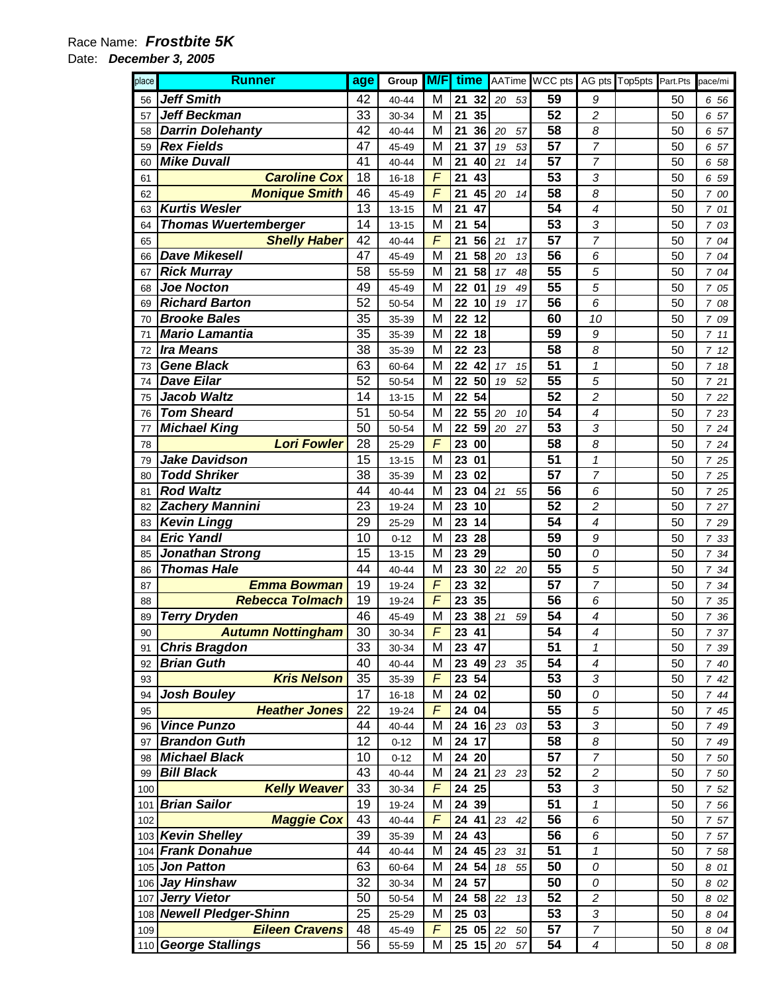#### Date: **December 3, 2005**

| place | <b>Runner</b>               | age | Group     | M/F            | time |       |       |    | AATime WCC pts  |                          | AG pts Top5pts Part.Pts |    | pace/mi              |
|-------|-----------------------------|-----|-----------|----------------|------|-------|-------|----|-----------------|--------------------------|-------------------------|----|----------------------|
| 56    | <b>Jeff Smith</b>           | 42  | 40-44     | M              | 21   | 32    | 20    | 53 | 59              | 9                        |                         | 50 | 6 56                 |
| 57    | <b>Jeff Beckman</b>         | 33  | 30-34     | M              | 21   | 35    |       |    | 52              | $\overline{c}$           |                         | 50 | 57<br>6              |
| 58    | <b>Darrin Dolehanty</b>     | 42  | 40-44     | M              | 21   | 36    | 20    | 57 | 58              | 8                        |                         | 50 | 6 57                 |
| 59    | <b>Rex Fields</b>           | 47  | 45-49     | M              | 21   | 37    | 19    | 53 | 57              | 7                        |                         | 50 | 57<br>6              |
| 60    | <b>Mike Duvall</b>          | 41  | $40 - 44$ | M              | 21   | 40    | 21    | 14 | 57              | $\overline{7}$           |                         | 50 | 6 58                 |
| 61    | <b>Caroline Cox</b>         | 18  | $16 - 18$ | F              | 21   | 43    |       |    | 53              | 3                        |                         | 50 | 6 59                 |
| 62    | <b>Monique Smith</b>        | 46  | 45-49     | F              | 21   | 45    | 20    | 14 | 58              | 8                        |                         | 50 | 7 00                 |
| 63    | <b>Kurtis Wesler</b>        | 13  | $13 - 15$ | M              | 21   | 47    |       |    | 54              | 4                        |                         | 50 | 7 01                 |
| 64    | <b>Thomas Wuertemberger</b> | 14  | $13 - 15$ | M              | 21   | 54    |       |    | 53              | 3                        |                         | 50 | 7 03                 |
| 65    | <b>Shelly Haber</b>         | 42  | 40-44     | F              | 21   | 56    | 21    | 17 | 57              | 7                        |                         | 50 | 7<br>04              |
| 66    | <b>Dave Mikesell</b>        | 47  | 45-49     | M              | 21   | 58    | 20    | 13 | 56              | 6                        |                         | 50 | 04<br>$\overline{7}$ |
| 67    | <b>Rick Murray</b>          | 58  | 55-59     | M              | 21   | 58    | 17    | 48 | 55              | 5                        |                         | 50 | 7<br>04              |
| 68    | <b>Joe Nocton</b>           | 49  | 45-49     | M              | 22   | 01    | 19    | 49 | 55              | 5                        |                         | 50 | 7 05                 |
| 69    | <b>Richard Barton</b>       | 52  | 50-54     | M              | 22   | 10    | 19    | 17 | 56              | 6                        |                         | 50 | 7 08                 |
| 70    | <b>Brooke Bales</b>         | 35  | 35-39     | M              | 22   | 12    |       |    | 60              | 10                       |                         | 50 | 7 09                 |
| 71    | Mario Lamantia              | 35  | 35-39     | M              | 22   | 18    |       |    | 59              | 9                        |                         | 50 | 7.11                 |
| 72    | <b>Ira Means</b>            | 38  | 35-39     | M              | 22   | 23    |       |    | 58              | 8                        |                         | 50 | 712                  |
| 73    | <b>Gene Black</b>           | 63  | 60-64     | M              | 22   | 42    | 17    | 15 | 51              | $\mathbf 1$              |                         | 50 | 7 18                 |
| 74    | <b>Dave Eilar</b>           | 52  | 50-54     | M              | 22   | 50    | 19    | 52 | 55              | 5                        |                         | 50 | 7 21                 |
| 75    | <b>Jacob Waltz</b>          | 14  | $13 - 15$ | M              | 22   | 54    |       |    | 52              | $\overline{c}$           |                         | 50 | 7 22                 |
| 76    | <b>Tom Sheard</b>           | 51  | 50-54     | M              | 22   | 55    | 20    | 10 | 54              | $\overline{\mathcal{A}}$ |                         | 50 | 7 23                 |
| 77    | <b>Michael King</b>         | 50  | 50-54     | M              | 22   | 59    | 20    | 27 | $\overline{53}$ | 3                        |                         | 50 | 7 24                 |
| 78    | <b>Lori Fowler</b>          | 28  | 25-29     | F              | 23   | 00    |       |    | 58              | 8                        |                         | 50 | 7 24                 |
| 79    | <b>Jake Davidson</b>        | 15  | $13 - 15$ | M              | 23   | 01    |       |    | 51              | 1                        |                         | 50 | 7 25                 |
| 80    | <b>Todd Shriker</b>         | 38  | 35-39     | M              | 23   | 02    |       |    | 57              | $\overline{7}$           |                         | 50 | 7 25                 |
| 81    | <b>Rod Waltz</b>            | 44  | 40-44     | M              | 23   | 04    | 21    | 55 | 56              | 6                        |                         | 50 | 7 25                 |
| 82    | <b>Zachery Mannini</b>      | 23  | 19-24     | M              | 23   | 10    |       |    | 52              | $\overline{c}$           |                         | 50 | 7 27                 |
| 83    | <b>Kevin Lingg</b>          | 29  | 25-29     | M              | 23   | 14    |       |    | 54              | 4                        |                         | 50 | 7 29                 |
| 84    | <b>Eric Yandl</b>           | 10  | $0 - 12$  | M              | 23   | 28    |       |    | 59              | 9                        |                         | 50 | 7 33                 |
| 85    | <b>Jonathan Strong</b>      | 15  | $13 - 15$ | M              | 23   | 29    |       |    | 50              | 0                        |                         | 50 | 7 34                 |
| 86    | <b>Thomas Hale</b>          | 44  | 40-44     | M              | 23   | 30    | 22    | 20 | 55              | 5                        |                         | 50 | 7 34                 |
| 87    | <b>Emma Bowman</b>          | 19  | 19-24     | F              | 23   | 32    |       |    | 57              | $\overline{7}$           |                         | 50 | 7 34                 |
| 88    | <b>Rebecca Tolmach</b>      | 19  | 19-24     | $\overline{F}$ | 23   | 35    |       |    | 56              | 6                        |                         | 50 | 7 35                 |
| 89    | <b>Terry Dryden</b>         | 46  | 45-49     | M              | 23   | 38    | 21    | 59 | 54              | $\overline{\mathcal{A}}$ |                         | 50 | 7 36                 |
| 90    | <b>Autumn Nottingham</b>    | 30  | 30-34     | F              | 23   | 41    |       |    | $\overline{54}$ | 4                        |                         | 50 | 7 37                 |
| 91    | <b>Chris Bragdon</b>        | 33  | 30-34     | M              |      | 23 47 |       |    | 51              | 1                        |                         | 50 | 7 39                 |
| 92    | <b>Brian Guth</b>           | 40  | 40-44     | M              | 23   | 49    | 23    | 35 | 54              | $\overline{\mathcal{A}}$ |                         | 50 | 7 40                 |
| 93    | <b>Kris Nelson</b>          | 35  | 35-39     | $\sqrt{2}$     | 23   | 54    |       |    | 53              | 3                        |                         | 50 | 742                  |
| 94    | <b>Josh Bouley</b>          | 17  | 16-18     | M              |      | 24 02 |       |    | 50              | 0                        |                         | 50 | 7 44                 |
| 95    | <b>Heather Jones</b>        | 22  | 19-24     | $\overline{F}$ | 24   | 04    |       |    | 55              | 5                        |                         | 50 | 7 45                 |
| 96    | <b>Vince Punzo</b>          | 44  | 40-44     | M              |      | 24 16 | 23    | 03 | 53              | 3                        |                         | 50 | 7 49                 |
| 97    | <b>Brandon Guth</b>         | 12  | $0 - 12$  | M              |      | 24 17 |       |    | 58              | 8                        |                         | 50 | 7 49                 |
| 98    | <b>Michael Black</b>        | 10  | $0 - 12$  | M              |      | 24 20 |       |    | 57              | $\overline{7}$           |                         | 50 | 7 50                 |
| 99    | <b>Bill Black</b>           | 43  | 40-44     | M              |      | 24 21 | 23 23 |    | 52              | 2                        |                         | 50 | 7 50                 |
| 100   | <b>Kelly Weaver</b>         | 33  | 30-34     | F              |      | 24 25 |       |    | 53              | 3                        |                         | 50 | 7 52                 |
| 101   | <b>Brian Sailor</b>         | 19  | 19-24     | M              | 24   | 39    |       |    | 51              | 1                        |                         | 50 | 7 56                 |
| 102   | <b>Maggie Cox</b>           | 43  | 40-44     | F              | 24   | 41    | 23    | 42 | 56              | 6                        |                         | 50 | 7 57                 |
|       | 103 Kevin Shelley           | 39  | 35-39     | M              | 24   | 43    |       |    | 56              | 6                        |                         | 50 | 7 57                 |
|       | 104 Frank Donahue           | 44  | $40 - 44$ | M              | 24   | 45    | 23    | 31 | 51              | 1                        |                         | 50 | 7 58                 |
|       | 105 Jon Patton              | 63  | 60-64     | M              | 24   | 54    | 18    | 55 | 50              | 0                        |                         | 50 | 8 01                 |
|       | 106 Jay Hinshaw             | 32  | 30-34     | M              | 24   | 57    |       |    | 50              | 0                        |                         | 50 | 8 0 2                |
|       | 107 Jerry Vietor            | 50  | 50-54     | M              | 24   | 58    | 22    | 13 | 52              | $\overline{c}$           |                         | 50 | 8 02                 |
| 108   | <b>Newell Pledger-Shinn</b> | 25  | 25-29     | M              |      | 25 03 |       |    | 53              | 3                        |                         | 50 | 8 04                 |
| 109   | <b>Eileen Cravens</b>       | 48  | 45-49     | $\sqrt{2}$     |      | 25 05 | 22    | 50 | 57              | 7                        |                         | 50 | 8 04                 |
|       | 110 George Stallings        | 56  | 55-59     | M              |      | 25 15 | 20    | 57 | 54              | 4                        |                         | 50 | 8 08                 |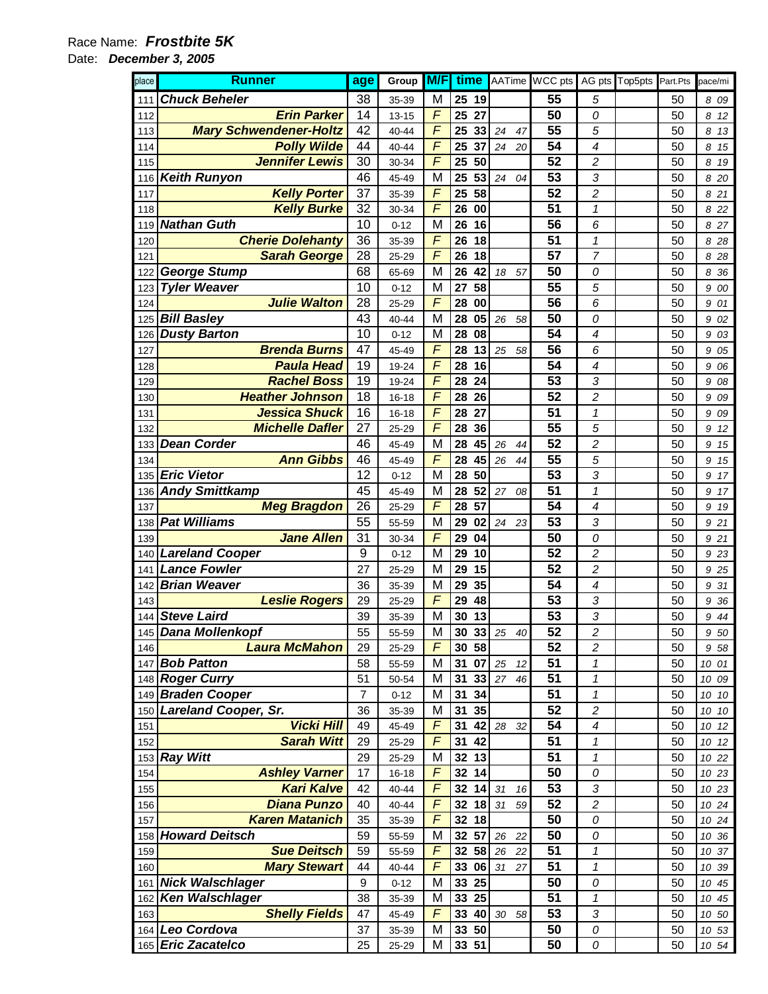#### Date: **December 3, 2005**

| place | <b>Runner</b>                 | age              | Group     | M/F                     | time |       |                       |        | AATime WCC pts  |                         | AG pts Top5pts Part.Pts |    | pace/mi |
|-------|-------------------------------|------------------|-----------|-------------------------|------|-------|-----------------------|--------|-----------------|-------------------------|-------------------------|----|---------|
| 111   | <b>Chuck Beheler</b>          | 38               | 35-39     | M                       |      | 25 19 |                       |        | 55              | 5                       |                         | 50 | 8 09    |
| 112   | <b>Erin Parker</b>            | 14               | $13 - 15$ | $\overline{F}$          | 25   | 27    |                       |        | 50              | 0                       |                         | 50 | 8<br>12 |
| 113   | <b>Mary Schwendener-Holtz</b> | 42               | 40-44     | F                       | 25   | 33    | 24                    | 47     | 55              | 5                       |                         | 50 | 8<br>13 |
| 114   | <b>Polly Wilde</b>            | 44               | 40-44     | F                       | 25   | 37    | 24                    | 20     | 54              | 4                       |                         | 50 | 8<br>15 |
| 115   | <b>Jennifer Lewis</b>         | 30               | 30-34     | F                       | 25   | 50    |                       |        | 52              | 2                       |                         | 50 | 8<br>19 |
| 116   | <b>Keith Runyon</b>           | 46               | 45-49     | M                       | 25   | 53    | 24                    | 04     | 53              | 3                       |                         | 50 | 8 20    |
| 117   | <b>Kelly Porter</b>           | 37               | 35-39     | F                       | 25   | 58    |                       |        | 52              | 2                       |                         | 50 | 21<br>8 |
| 118   | <b>Kelly Burke</b>            | 32               | 30-34     | F                       | 26   | 00    |                       |        | 51              | 1                       |                         | 50 | 8 2 2   |
| 119   | <b>Nathan Guth</b>            | 10               | $0 - 12$  | M                       | 26   | 16    |                       |        | 56              | 6                       |                         | 50 | 8<br>27 |
| 120   | <b>Cherie Dolehanty</b>       | 36               | 35-39     | F                       | 26   | 18    |                       |        | 51              | 1                       |                         | 50 | 28<br>8 |
| 121   | <b>Sarah George</b>           | 28               | 25-29     | $\overline{F}$          | 26   | 18    |                       |        | 57              | $\overline{7}$          |                         | 50 | 8<br>28 |
| 122   | <b>George Stump</b>           | 68               | 65-69     | M                       | 26   | 42    | 18                    | 57     | 50              | 0                       |                         | 50 | 36<br>8 |
| 123   | <b>Tyler Weaver</b>           | 10               | $0 - 12$  | M                       | 27   | 58    |                       |        | 55              | 5                       |                         | 50 | 9<br>00 |
| 124   | <b>Julie Walton</b>           | 28               | 25-29     | F                       | 28   | 00    |                       |        | 56              | 6                       |                         | 50 | 9<br>01 |
| 125   | <b>Bill Basley</b>            | 43               | $40 - 44$ | M                       | 28   | 05    | 26                    | 58     | 50              | 0                       |                         | 50 | 9<br>02 |
| 126   | <b>Dusty Barton</b>           | 10               | $0 - 12$  | M                       | 28   | 08    |                       |        | 54              | 4                       |                         | 50 | 03<br>9 |
| 127   | <b>Brenda Burns</b>           | 47               | 45-49     | F                       | 28   | 13    | 25                    | 58     | 56              | 6                       |                         | 50 | 9<br>05 |
| 128   | <b>Paula Head</b>             | 19               | 19-24     | $\overline{F}$          | 28   | 16    |                       |        | 54              | 4                       |                         | 50 | 9<br>06 |
| 129   | <b>Rachel Boss</b>            | 19               | 19-24     | F                       | 28   | 24    |                       |        | 53              | 3                       |                         | 50 | 9<br>08 |
| 130   | <b>Heather Johnson</b>        | 18               | $16 - 18$ | F                       | 28   | 26    |                       |        | 52              | $\overline{c}$          |                         | 50 | 9<br>09 |
| 131   | <b>Jessica Shuck</b>          | 16               | $16 - 18$ | F                       | 28   | 27    |                       |        | 51              | 1                       |                         | 50 | 09<br>9 |
| 132   | <b>Michelle Dafler</b>        | 27               | 25-29     | F                       | 28   | 36    |                       |        | 55              | 5                       |                         | 50 | 9<br>12 |
| 133   | <b>Dean Corder</b>            | 46               | 45-49     | M                       | 28   | 45    | 26                    | 44     | 52              | 2                       |                         | 50 | 9<br>15 |
| 134   | <b>Ann Gibbs</b>              | 46               | 45-49     | $\overline{F}$          | 28   | 45    | 26                    | 44     | 55              | 5                       |                         | 50 | 15<br>9 |
| 135   | <b>Eric Vietor</b>            | 12               | $0 - 12$  | M                       | 28   | 50    |                       |        | 53              | 3                       |                         | 50 | 9<br>17 |
| 136   | <b>Andy Smittkamp</b>         | 45               | 45-49     | M                       | 28   | 52    | 27                    | 08     | 51              | 1                       |                         | 50 | 9<br>17 |
| 137   | <b>Meg Bragdon</b>            | 26               | 25-29     | F                       | 28   | 57    |                       |        | 54              | 4                       |                         | 50 | 9<br>19 |
| 138   | <b>Pat Williams</b>           | 55               | 55-59     | M                       | 29   | 02    | 24                    | 23     | 53              | 3                       |                         | 50 | 21<br>9 |
| 139   | <b>Jane Allen</b>             | 31               | 30-34     | F                       | 29   | 04    |                       |        | 50              | 0                       |                         | 50 | 9<br>21 |
| 140   | <b>Lareland Cooper</b>        | 9                | $0 - 12$  | M                       | 29   | 10    |                       |        | 52              | $\overline{c}$          |                         | 50 | 9<br>23 |
| 141   | <b>Lance Fowler</b>           | 27               | 25-29     | M                       | 29   | 15    |                       |        | 52              | 2                       |                         | 50 | 25<br>9 |
| 142   | <b>Brian Weaver</b>           | 36               | 35-39     | M                       | 29   | 35    |                       |        | 54              | 4                       |                         | 50 | 31<br>9 |
| 143   | <b>Leslie Rogers</b>          | 29               | 25-29     | F                       | 29   | 48    |                       |        | 53              | 3                       |                         | 50 | 36<br>9 |
| 144   | <b>Steve Laird</b>            | 39               | 35-39     | M                       | 30   | 13    |                       |        | 53              | 3                       |                         | 50 | 9<br>44 |
|       | 145 Dana Mollenkopf           | 55               | 55-59     | $\overline{\mathsf{M}}$ |      |       | $\overline{30}$ 33 25 | $40\,$ | $\overline{52}$ | $\overline{\mathbf{c}}$ |                         | 50 | 9 50    |
| 146   | <b>Laura McMahon</b>          | 29               | 25-29     | $\sqrt{2}$              |      | 30 58 |                       |        | 52              | $\overline{c}$          |                         | 50 | 9 58    |
|       | 147 Bob Patton                | 58               | 55-59     | M                       | 31   | 07    | 25                    | 12     | 51              | 1                       |                         | 50 | 10 01   |
|       | 148 Roger Curry               | 51               | 50-54     | M                       | 31   | 33    | 27                    | 46     | 51              | 1                       |                         | 50 | 10 09   |
|       | 149 Braden Cooper             | $\overline{7}$   | $0 - 12$  | M                       | 31   | 34    |                       |        | 51              | $\mathbf{1}$            |                         | 50 | 10 10   |
| 150   | <b>Lareland Cooper, Sr.</b>   | 36               | 35-39     | M                       | 31   | 35    |                       |        | 52              | $\overline{c}$          |                         | 50 | 10 10   |
| 151   | <b>Vicki Hill</b>             | 49               | 45-49     | F                       | 31   | 42    | 28                    | 32     | 54              | 4                       |                         | 50 | 10 12   |
| 152   | <b>Sarah Witt</b>             | 29               | 25-29     | F                       | 31   | 42    |                       |        | 51              | 1                       |                         | 50 | 10 12   |
| 153   | <b>Ray Witt</b>               | 29               | 25-29     | M                       | 32   | 13    |                       |        | 51              | 1                       |                         | 50 | 10 22   |
| 154   | <b>Ashley Varner</b>          | 17               | 16-18     | F                       | 32   | 14    |                       |        | 50              | 0                       |                         | 50 | 10 23   |
| 155   | <b>Kari Kalve</b>             | 42               | 40-44     | F                       |      | 32 14 | 31                    | 16     | 53              | 3                       |                         | 50 | 10 23   |
| 156   | <b>Diana Punzo</b>            | 40               | 40-44     | F                       | 32   | 18    | 31                    | 59     | 52              | $\overline{c}$          |                         | 50 | 10 24   |
| 157   | <b>Karen Matanich</b>         | 35               | 35-39     | F                       | 32   | 18    |                       |        | 50              | 0                       |                         | 50 | 10 24   |
| 158   | <b>Howard Deitsch</b>         | 59               | 55-59     | M                       | 32   | 57    | 26                    | 22     | 50              | 0                       |                         | 50 | 10 36   |
| 159   | <b>Sue Deitsch</b>            | 59               | 55-59     | F                       | 32   | 58    | 26                    | 22     | 51              | 1                       |                         | 50 | 10 37   |
| 160   | <b>Mary Stewart</b>           | 44               | 40-44     | $\overline{F}$          | 33   | 06    | 31                    | 27     | 51              | 1                       |                         | 50 | 10 39   |
| 161   | <b>Nick Walschlager</b>       | $\boldsymbol{9}$ | $0 - 12$  | M                       |      | 33 25 |                       |        | 50              | 0                       |                         | 50 | 10 45   |
| 162   | Ken Walschlager               | 38               | 35-39     | M                       |      | 33 25 |                       |        | 51              | 1                       |                         | 50 | 10 45   |
| 163   | <b>Shelly Fields</b>          | 47               | 45-49     | F                       |      | 33 40 | 30                    | 58     | 53              | 3                       |                         | 50 | 10 50   |
|       | 164 Leo Cordova               | 37               | 35-39     | M                       |      | 33 50 |                       |        | 50              | 0                       |                         | 50 | 10 53   |
|       | 165 Eric Zacatelco            | 25               | 25-29     | M                       |      | 33 51 |                       |        | 50              | 0                       |                         | 50 | 10 54   |